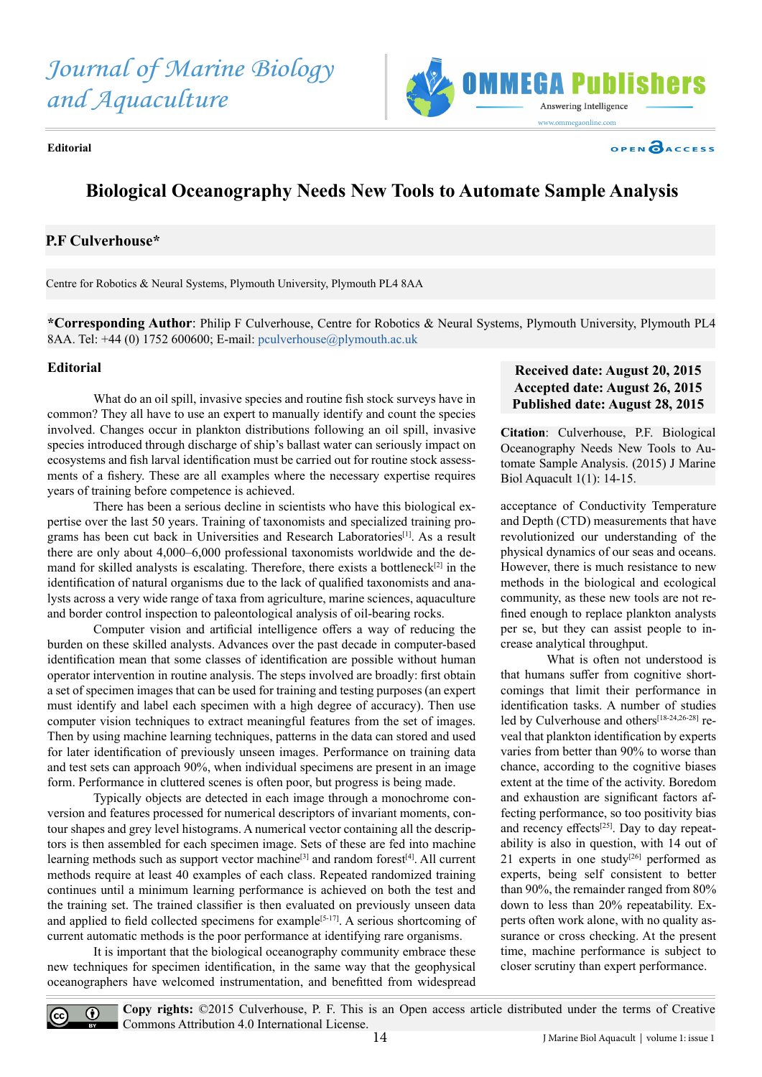*Journal of Marine Biology and Aquaculture*



**Editorial**

# **Biological Oceanography Needs New Tools to Automate Sample Analysis**

## **P.F Culverhouse\***

Centre for Robotics & Neural Systems, Plymouth University, Plymouth PL4 8AA

**\*Corresponding Author**: Philip F Culverhouse, Centre for Robotics & Neural Systems, Plymouth University, Plymouth PL4 8AA. Tel: +44 (0) 1752 600600; E-mail: [pculverhouse@plymouth.ac.uk](mailto:pculverhouse%40plymouth.ac.uk?subject=)

#### **Editorial**

 $\left(\mathrm{cc}\right)$ 

 What do an oil spill, invasive species and routine fish stock surveys have in common? They all have to use an expert to manually identify and count the species involved. Changes occur in plankton distributions following an oil spill, invasive species introduced through discharge of ship's ballast water can seriously impact on ecosystems and fish larval identification must be carried out for routine stock assessments of a fishery. These are all examples where the necessary expertise requires years of training before competence is achieved.

There has been a serious decline in scientists who have this biological expertise over the last 50 years. Training of taxonomists and specialized training programs has been cut back in Universities and Research Laboratories[1]. As a result there are only about 4,000–6,000 professional taxonomists worldwide and the demand for skilled analysts is escalating. Therefore, there exists a bottleneck<sup>[2]</sup> in the identification of natural organisms due to the lack of qualified taxonomists and analysts across a very wide range of taxa from agriculture, marine sciences, aquaculture and border control inspection to paleontological analysis of oil-bearing rocks.

 Computer vision and artificial intelligence offers a way of reducing the burden on these skilled analysts. Advances over the past decade in computer-based identification mean that some classes of identification are possible without human operator intervention in routine analysis. The steps involved are broadly: first obtain a set of specimen images that can be used for training and testing purposes (an expert must identify and label each specimen with a high degree of accuracy). Then use computer vision techniques to extract meaningful features from the set of images. Then by using machine learning techniques, patterns in the data can stored and used for later identification of previously unseen images. Performance on training data and test sets can approach 90%, when individual specimens are present in an image form. Performance in cluttered scenes is often poor, but progress is being made.

Typically objects are detected in each image through a monochrome conversion and features processed for numerical descriptors of invariant moments, contour shapes and grey level histograms. A numerical vector containing all the descriptors is then assembled for each specimen image. Sets of these are fed into machine learning methods such as support vector machine<sup>[3]</sup> and random forest<sup>[4]</sup>. All current methods require at least 40 examples of each class. Repeated randomized training continues until a minimum learning performance is achieved on both the test and the training set. The trained classifier is then evaluated on previously unseen data and applied to field collected specimens for example<sup>[5-17]</sup>. A serious shortcoming of current automatic methods is the poor performance at identifying rare organisms.

It is important that the biological oceanography community embrace these new techniques for specimen identification, in the same way that the geophysical oceanographers have welcomed instrumentation, and benefitted from widespread

## **Received date: August 20, 2015 Accepted date: August 26, 2015 Published date: August 28, 2015**

**OPEN CACCESS** 

**Citation**: Culverhouse, P.F. Biological Oceanography Needs New Tools to Automate Sample Analysis. (2015) J Marine Biol Aquacult 1(1): 14-15.

acceptance of Conductivity Temperature and Depth (CTD) measurements that have revolutionized our understanding of the physical dynamics of our seas and oceans. However, there is much resistance to new methods in the biological and ecological community, as these new tools are not refined enough to replace plankton analysts per se, but they can assist people to increase analytical throughput.

What is often not understood is that humans suffer from cognitive shortcomings that limit their performance in identification tasks. A number of studies led by Culverhouse and others<sup>[18-24,26-28]</sup> reveal that plankton identification by experts varies from better than 90% to worse than chance, according to the cognitive biases extent at the time of the activity. Boredom and exhaustion are significant factors affecting performance, so too positivity bias and recency effects $[25]$ . Day to day repeatability is also in question, with 14 out of 21 experts in one study<sup>[26]</sup> performed as experts, being self consistent to better than 90%, the remainder ranged from 80% down to less than 20% repeatability. Experts often work alone, with no quality assurance or cross checking. At the present time, machine performance is subject to closer scrutiny than expert performance.